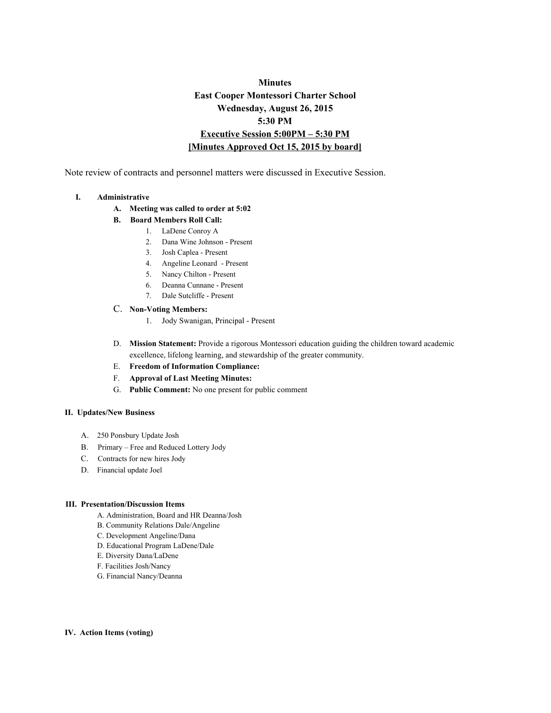# **Minutes East Cooper Montessori Charter School Wednesday, August 26, 2015 5:30 PM Executive Session 5:00PM – 5:30 PM [Minutes Approved Oct 15, 2015 by board]**

Note review of contracts and personnel matters were discussed in Executive Session.

### **I. Administrative**

- **A. Meeting was called to order at 5:02**
- **B. Board Members Roll Call:**
	- 1. LaDene Conroy A
		- 2. Dana Wine Johnson Present
		- 3. Josh Caplea Present
		- 4. Angeline Leonard Present
		- 5. Nancy Chilton Present
		- 6. Deanna Cunnane Present
		- 7. Dale Sutcliffe Present
- $C.$  **Non-Voting Members:** 
	- 1. Jody Swanigan, Principal Present
- D. **Mission Statement:** Provide a rigorous Montessori education guiding the children toward academic excellence, lifelong learning, and stewardship of the greater community.
- E. **Freedom of Information Compliance:**
- F. **Approval of Last Meeting Minutes:**
- G. **Public Comment:**No one present for public comment

#### **II. Updates/New Business**

- A. 250 Ponsbury Update Josh
- B. Primary Free and Reduced Lottery Jody
- C. Contracts for new hires Jody
- D. Financial update Joel

### **III. Presentation/Discussion Items**

- A. Administration, Board and HR Deanna/Josh
- B. Community Relations Dale/Angeline
- C. Development Angeline/Dana
- D. Educational Program LaDene/Dale
- E. Diversity Dana/LaDene
- F. Facilities Josh/Nancy
- G. Financial Nancy/Deanna

#### **IV. Action Items (voting)**